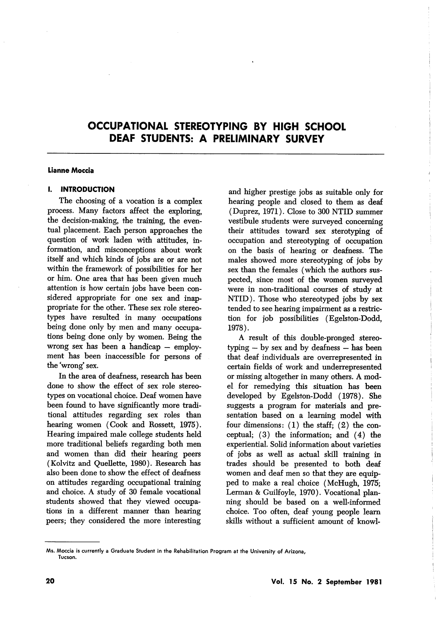### Lianne Moccia

## I. INTRODUCTION

The choosing of a vocation is a complex process. Many factors affect the exploring, the decision-making, the training, the even tual placement. Each person approaches the question of work laden with attitudes, in formation, and misconceptions about work itself and which kinds of jobs are or are not within the framework of possibilities for her or him. One area that has been given much attention is how certain jobs have been con sidered appropriate for one sex and inap propriate for the other. These sex role stereo types have resulted in many occupations being done only by men and many occupa tions being done only by women. Being the wrong sex has been a handicap — employment has been inaccessible for persons of the wrong' sex.

In the area of deafness, research has been done to show the effect of sex role stereo types on vocational choice. Deaf women have been found to have significantly more tradi tional attitudes regarding sex roles than hearing women (Cook and Rossett, 1975). Hearing impaired male college students held more traditional beliefs regarding both men and women than did their hearing peers (Kolvitz and Quellette, 1980). Research has also been done to show the effect of deafness on attitudes regarding occupational training and choice. A study of 30 female vocational students showed that they viewed occupa tions in a different manner than hearing peers; they considered the more interesting

and higher prestige jobs as suitable only for hearing people and closed to them as deaf (Duprez, 1971). Close to 300 NTID summer vestibule students were surveyed concerning their attitudes toward sex sterotyping of occupation and stereotyping of occupation on the basis of hearing or deafness. The males showed more stereotyping of jobs by sex than the females (which the authors sus pected, since most of the women surveyed were in non-traditional courses of study at NTID). Those who stereotyped jobs by sex tended to see hearing impairment as a restric tion for job possibilities (Egelston-Dodd, 1978).

A result of this double-pronged stereotyping — by sex and by deafness — has been that deaf individuals are overrepresented in certain fields of work and underrepresented or missing altogether in many others. A mod el for remedying this situation has been developed by Egelston-Dodd (1978). She suggests a program for materials and pre sentation based on a learning model with four dimensions:  $(1)$  the staff;  $(2)$  the conceptual; (3) the information; and (4) the experiential. Solid information about varieties of jobs as well as actual skill training in trades should be presented to both deaf women and deaf men so that they are equip ped to make a real choice (McHugh, 1975; Lerman & Guilfoyle, 1970). Vocational plan ning should be based on a well-informed choice. Too often, deaf young people learn skills without a sufficient amount of knowl-

AAs. Moccia is currently a Graduate Student in the Rehabilitation Program at the University of Arizona, Tucson.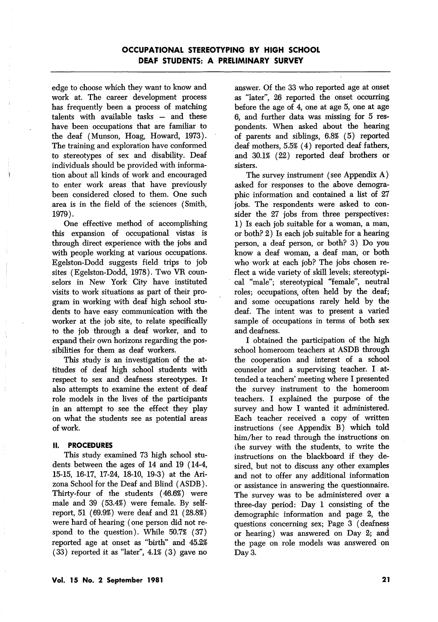edge to choose which they want to know and work at. The career development process has frequently been a process of matching talents with available tasks — and these have been occupations that are familiar to the deaf (Munson, Hoag, Howard, 1973). The training and exploration have conformed to stereotypes of sex and disability. Deaf individuals should be provided with informa tion about all kinds of work and encouraged to enter work areas that have previously been considered closed to them. One such area is in the field of the sciences (Smith, 1979).

One effective method of accomplishing this expansion of occupational vistas is through direct experience with the jobs and with people working at various occupations. Egelston-Dodd suggests field trips to job sites (Egelston-Dodd, 1978). Two VR coun selors in New York City have instituted visits to work situations as part of their pro gram in working with deaf high school stu dents to have easy communication with the worker at the job site, to relate specifically to the job through a deaf worker, and to expand their own horizons regarding the pos sibilities for them as deaf workers.

This study is an investigation of the at titudes of deaf high school students with respect to sex and deafness stereotypes. It also attempts to examine the extent of deaf role models in the lives of the participants in an attempt to see the effect they play on what the students see as potential areas of work.

## II. PROCEDURES

This study examined 73 high school stu dents between the ages of 14 and 19 (14-4, 15-15, 16-17, 17-24, 18-10, 19-3) at the Ari zona School for the Deaf and Blind (ASDB). Thirty-four of the students (46.6%) were male and 39 (53.4%) were female. By selfreport, 51 (69.9%) were deaf and 21 (28.8%) were hard of hearing (one person did not re spond to the question). While 50.7% (37) reported age at onset as "birth" and 45.2% (33) reported it as "later", 4.1% (3) gave no

answer. Of the 33 who reported age at onset as "later", 26 reported the onset occurring before the age of 4, one at age 5, one at age 6, and further data was missing for 5 res pondents. When asked about the hearing of parents and siblings, 6.8% (5) reported deaf mothers, 5.5% (4) reported deaf fathers, and 30.1% (22) reported deaf brothers or sisters.

The survey instrument (see Appendix A) asked for responses to the above demogra phic information and contained a list of 27 jobs. The respondents were asked to con sider the 27 jobs from three perspectives: 1) Is each job suitable for a woman, a man, or both? 2) Is each job suitable for a hearing person, a deaf person, or both? 3) Do you know a deaf woman, a deaf man, or both who work at each job? The jobs chosen re flect a wide variety of skill levels; stereotypi cal "male"; stereotypical "female", neutral roles; occupations, often held by the deaf; and some occupations rarely held by the deaf. The intent was to present a varied sample of occupations in terms of both sex and deafness.

I obtained the participation of the high school homeroom teachers at ASDB through the cooperation and interest of a school counselor and a supervising teacher. I at tended a teachers' meeting where I presented the survey instrument to the homeroom teachers. I explained the purpose of the survey and how I wanted it administered. Each teacher received a copy of written instructions (see Appendix B) which told him/her to read through the instructions on ihe survey with the students, to write the instructions on the blackboard if they de sired, but not to discuss any other examples and not to offer any additional information or assistance in answering the questionnaire. The survey was to be administered over a three-day period: Day 1 consisting of the demographic information and page 2, the questions concerning sex; Page 3 (deafness or hearing) was answered on Day 2; and the page on role models was answered on Day 3.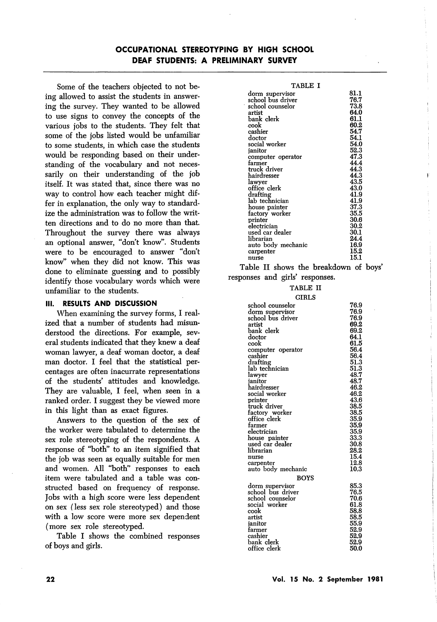Some of the teachers objected to not be ing allowed to assist the students in answer ing the survey. They wanted to be allowed to use signs to convey the concepts of the various jobs to the students. They felt that some of the jobs listed would be unfamiliar to some students, in which case the students would be responding based on their under standing of the vocabulary and not neces sarily on their understanding of the job itself. It was stated that, since there was no way to control how each teacher might dif fer in explanation, the only way to standard ize the administration was to follow the writ ten directions and to do no more than that. Throughout the survey there was always an optional answer, "don't know". Students were to be encouraged to answer "don't know" when they did not know. This was done to eliminate guessing and to possibly identify those vocabulary words which were unfamiliar to the students.

## III. RESULTS AND DISCUSSION

When examining the survey forms, I real ized that a number of students had misun derstood the directions. For example, sev eral students indicated that they knew a deaf woman lawyer, a deaf woman doctor, a deaf man doctor. I feel that the statistical per centages are often inacurrate representations of the students' attitudes and knowledge. They are valuable, I feel, when seen in a ranked order. I suggest they be viewed more in this light than as exact figures.

Answers to the question of the sex of the worker were tabulated to determine the sex role stereotyping of the respondents. A response of "both" to an item signified that the job was seen as equally suitable for men and women. All "both" responses to each item were tabulated and a table was con structed based on frequency of response. Jobs with a high score were less dependent on sex (less sex role stereotyped) and those with a low score were more sex dependent (more sex role stereotyped.

Table I shows the combined responses of boys and girls.

| TABLE I            |      |
|--------------------|------|
| dorm supervisor    | 81.1 |
| school bus driver  | 76.7 |
| school counselor   | 73.8 |
| artist             | 64.0 |
| bank clerk         | 61.1 |
| cook               | 60.2 |
| cashier            | 54.7 |
| doctor             | 54.1 |
| social worker      | 54.0 |
| janitor            | 52.3 |
| computer operator  | 47.3 |
| farmer             | 44.4 |
| truck driver       | 44.3 |
| hairdresser        | 44.3 |
| lawyer             | 43.5 |
| office clerk       | 43.0 |
| drafting           | 41.9 |
| lab technician     | 41.9 |
| house painter      | 37.3 |
| factory worker     | 35.5 |
| printer            | 30.6 |
| electrician        | 30,2 |
| used car dealer    | 30.1 |
| librarian          | 24.4 |
| auto body mechanic | 16.9 |
| carpenter          | 15.2 |
| nurse              | 15.1 |

Table II shows the breakdown of boys' responses and girls' responses.

## TABLE II

| <b>GIRLS</b>                                                                                                                                                                                                                                                                                                                                                                                                            |                                                                                                                                                                                                                      |
|-------------------------------------------------------------------------------------------------------------------------------------------------------------------------------------------------------------------------------------------------------------------------------------------------------------------------------------------------------------------------------------------------------------------------|----------------------------------------------------------------------------------------------------------------------------------------------------------------------------------------------------------------------|
| school counselor<br>dorm supervisor<br>school bus driver<br>artist<br>bank clerk<br>doctor<br>cook<br>computer operator<br>cashier<br>drafting<br>lab technician<br>lawyer<br>janitor<br>hairdresser<br>social worker<br>printer<br>truck driver<br>factory worker<br>office clerk<br>farmer<br>electrician<br>house painter<br>used car dealer<br>librarian<br>nurse<br>carpenter<br>auto body mechanic<br><b>BOYS</b> | 76.9<br>76.9<br>76.9<br>69.2<br>69.2<br>64.1<br>61.5<br>56.4<br>56.4<br>51.3<br>51.3<br>48.7<br>48.7<br>46.2<br>46.2<br>43.6<br>38.5<br>38.5<br>35.9<br>35.9<br>35.9<br>33.3<br>30.8<br>28.2<br>15.4<br>12.8<br>10.3 |
| dorm supervisor<br>school bus driver<br>school counselor<br>social worker<br>cook<br>artist<br>ianitor<br>farmer<br>cashier<br>bank clerk<br>office clerk                                                                                                                                                                                                                                                               | 85.3<br>76.5<br>70.6<br>61.8<br>58.8<br>58.5<br>55.9<br>52.9<br>52.9<br>52.9<br>50.0                                                                                                                                 |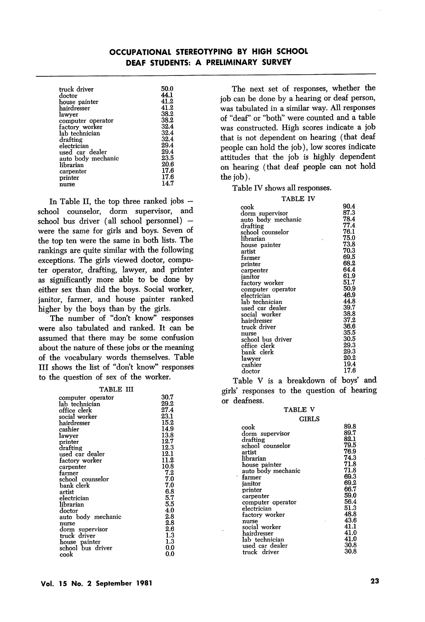| truck driver<br>doctor       | 50.0<br>44.1<br>41.2 |
|------------------------------|----------------------|
| house painter<br>hairdresser | 41.2                 |
| lawver                       | 38.2                 |
| computer operator            | 38.2                 |
| factory worker               | 32.4                 |
| lah technician               | 32.4                 |
| drafting                     | 32.4                 |
| electrician                  | 29.4                 |
| used car dealer              | 29.4                 |
| auto body mechanic           | 23.5                 |
| lihrarian                    | 20.6                 |
| carpenter                    | 17.6                 |
| printer                      | 17.6                 |
| nurse                        | 14.7                 |

In Table II, the top three ranked jobs school counselor, dorm supervisor, and school bus driver (all school personnel) were the same for girls and boys. Seven of the top ten were the same in both lists. The rankings are quite similar with the following exceptions. The girls viewed doctor, compu ter operator, drafting, lawyer, and printer as significantly more able to be done by either sex than did the boys. Social worker, janitor, farmer, and house painter ranked higher by the boys than by the girls.

The number of "don't know" responses were also tabulated and ranked. It can be assumed that there may be some confusion about the nature of these jobs or the meaning of the vocabulary words themselves. Table III shows the list of "don't know" responses to the question of sex of the worker.

TABLE III

| computer operator    | 30.7 |
|----------------------|------|
| lab technician       | 29.2 |
| office clerk         | 27.4 |
| social worker        | 23.1 |
| ${\rm hair}$ dresser | 15.2 |
| cashier              | 14.9 |
| lawyer               | 13.8 |
| printer              | 12.7 |
| drafting             | 12.3 |
| used car dealer      | 12.1 |
| factory worker       | 11.2 |
| carpenter            | 10.8 |
| farmer               | 7.2  |
| school counselor     | 7.0  |
| bank clerk           | 7.0  |
| artist               | 6.8  |
| electrician          | 5.7  |
| librarian            | 5.5  |
| $_{\mathrm{doctor}}$ | 4.0  |
| auto body mechanic   | 2.8  |
| nurse                | 2.8  |
| dorm supervisor      | 2.6  |
| truck driver         | 1.3  |
| house painter        | 1.3  |
| school bus driver    | 0.0  |
| cook                 | 0.0  |
|                      |      |

The next set of responses, whether the job can be done by a hearing or deaf person, was tabulated in a similar way. All responses of "deaf" or "both" were counted and a table was constructed. High scores indicate a job that is not dependent on hearing (that deaf people can hold the job), low scores indicate attitudes that the job is highly dependent on hearing (that deaf people can not hold the job).

Table IV shows all responses.

Table V is a breakdown of boys' and girls' responses to the question of hearing or deafness.

### TABLE V

|                    | CIRLS        |
|--------------------|--------------|
| cook               | 89.8         |
| dorm supervisor    | 89.7         |
| drafting           | 82.1         |
| school counselor   | 79.5<br>76.9 |
| artist             |              |
| librarian          | 74.3         |
| house painter      | 71.8         |
| auto body mechanic | 71.8         |
| farmer             | 69.3         |
| ianitor            | 69.2         |
| printer            | 66.7         |
| carpenter          | 59.0         |
| computer operator  | 56.4         |
| electrician        | 51.3         |
| factory worker     | 48.8         |
| nurse              | 43.6         |
| social worker      | 41.1         |
| hairdresser        | 41.0         |
| lab technician     | 41.0         |
| used car dealer    | 30.8         |
| truck driver       | 30.8         |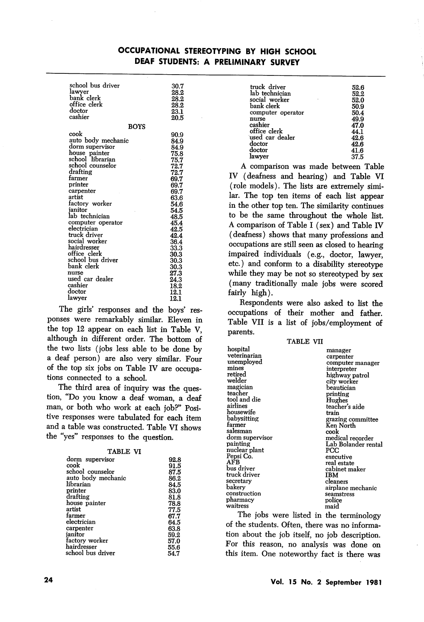| school bus driver    | 30.7         |
|----------------------|--------------|
| lawyer<br>bank clerk | 28.2         |
| office clerk         | 28.2<br>28.2 |
| doctor               | 23.1         |
| cashier              | 20.5         |
|                      |              |
| <b>BOYS</b>          |              |
| cook                 | 90.9         |
| auto body mechanic   | 84.9         |
| dorm supervisor      | 84.9         |
| house painter        | 75.8         |
| school librarian     | 75.7         |
| school counselor     | 72.7         |
| drafting             | 72.7         |
| farmer               | 69.7         |
| printer              | 69.7         |
| carpenter            | 69.7         |
| artist               | 63.6         |
| factory worker       | 54.6         |
| ianitor              | 54.5         |
| lab technician       | 48.5         |
| computer operator    | 45.4         |
| electrician          | 42.5         |
| truck driver         | 42.4         |
| social worker        | 36.4         |
| ${\rm hair}$ dresser | 33.3         |
| office clerk         | 30.3         |
| school bus driver    | 30.3         |
| bank clerk           | 30.3         |
| nurse                | 27.3         |
| used car dealer      | 24.3         |
| cashier              | 18.2         |
| $_{\mathrm{doctor}}$ | 12.1         |
| lawyer               | 12.1         |

The girls' responses and the boys' res ponses were remarkably similar. Eleven in the top 12 appear on each list in Table V, although in different order. The bottom of the two lists (jobs less able to be done by a deaf person) are also very similar. Four of the top six jobs on Table IV are occupa tions connected to a school.

The third area of inquiry was the ques tion, "Do you know a deaf woman, a deaf man, or both who work at each job?" Posi tive responses were tabulated for each item and a table was constructed. Table VI shows the "yes" responses to the question.

| . .<br>-<br>н | × |
|---------------|---|
|---------------|---|

| IADLL VI           |      |
|--------------------|------|
| dorm supervisor    | 92.8 |
| cook               | 91.5 |
| school counselor   | 87.5 |
| auto body mechanic | 86.2 |
| librarian          | 84.5 |
| printer            | 83.0 |
| drafting           | 81.8 |
| house painter      | 78.8 |
| artist             | 77.5 |
| farmer             | 67.7 |
| electrician        | 64.5 |
| carpenter          | 63.8 |
| ianitor            | 59.2 |
| factory worker     | 57.0 |
| hairdresser        | 55.6 |
| school bus driver  | 54.7 |
|                    |      |

| 52.6 |
|------|
| 52.2 |
| 52.0 |
| 50.9 |
| 50.4 |
| 49.9 |
| 47.0 |
| 44.1 |
| 42.6 |
| 42.6 |
| 41.6 |
| 37.5 |
|      |

A comparison was made between Table IV (deafness and hearing) and Table VI (role models). The lists are extremely simi lar. The top ten items of each list appear in the other top ten. The similarity continues to be the same throughout the whole list. A comparison of Table I (sex) and Table IV (deafness) shows that many professions and occupations are still seen as closed to hearing impaired individuals (e.g., doctor, lawyer, etc.) and conform to a disability stereotype while they may be not so stereotyped by sex (many traditionally male jobs were scored fairly high).

Respondents were also asked to list the occupations of their mother and father. Table VII is a list of jobs/employment of parents.

TABLE VII

| hospital<br>veterinarian<br>unemployed<br>mines<br>retired<br>welder<br>magician<br>teacher | manager<br>carpenter<br>computer manager<br>interpreter<br>highway patrol<br>city worker<br>beautician<br>printing |
|---------------------------------------------------------------------------------------------|--------------------------------------------------------------------------------------------------------------------|
| tool and die                                                                                | Hughes                                                                                                             |
| airlines<br>housewife                                                                       | teacher's aide<br>train                                                                                            |
| babysitting                                                                                 | grazing committee                                                                                                  |
| farmer                                                                                      | Ken North                                                                                                          |
| salesman                                                                                    | cook                                                                                                               |
| dorm supervisor<br>painting                                                                 | medical recorder<br>Lab Bolander rental                                                                            |
| nuclear plant                                                                               | PCC                                                                                                                |
| Pepsi Co.                                                                                   | executive                                                                                                          |
| AFB                                                                                         | real estate                                                                                                        |
| bus driver                                                                                  | cabinet maker                                                                                                      |
| truck driver                                                                                | IBM                                                                                                                |
| secretary                                                                                   | cleaners                                                                                                           |
| bakery                                                                                      | airplane mechanic                                                                                                  |
| construction                                                                                | seamstress                                                                                                         |
| pharmacy                                                                                    | police                                                                                                             |
| waitress                                                                                    | maid                                                                                                               |

The jobs were listed in the terminology of the students. Often, there was no informa tion about the job itself, no job description. For this reason, no analysis was done on this item. One noteworthy fact is there was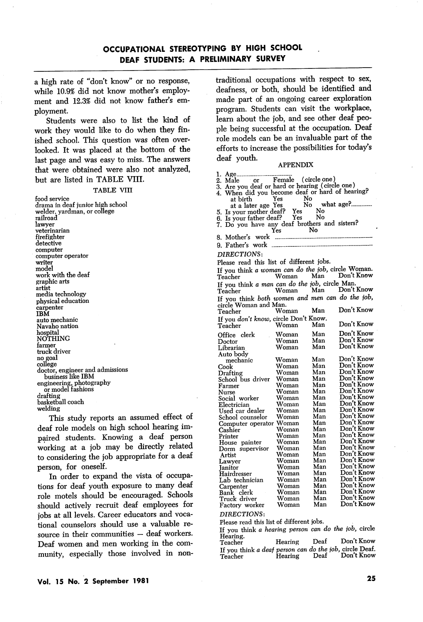a high rate of "don't know" or no response, while 10.9% did not know mother's employ ment and 12.3% did not know father's employment.

Students were also to list the kind of work they would like to do when they fin ished school. This question was often over looked. It was placed at the bottom of the last page and was easy to miss. The answers that were obtained were also not analyzed, but are listed in TABLE VIII.

#### TABLE VIII

food service drama in deaf junior high school welder, yardman, or college raihoad lawyer veterinarian firefighter detective computer computer operator writer model work with the deaf graphic arts artist media technology physical education carpenter IBM auto mechanic Navaho nation hospital NOTHING farmer truck driver no goal college doctor, engineer and admissions business like IBM engineering, photography or model fashions drafting basketball coach welding

This study reports an assumed effect of deaf role models on high school hearing impaired students. Knowing a deaf person working at a job may be directly related to considering the job appropriate for a deaf person, for oneself.

In order to expand the vista of occupa tions for deaf youth exposure to many deaf role motels should be encouraged. Schools should actively recruit deaf employees for jobs at all levels. Career educators and voca tional counselors should use a valuable re source in their communities — deaf workers. Deaf women and men working in the com munity, especially those involved in nontraditional occupations with respect to sex, deafness, or both, should be identified and made part of an ongoing career exploration program. Students can visit the workplace, learn about the job, and see other deaf peo ple being successful at the occupation. Deaf role models can be an invaluable part of the efforts to increase the possibilities for today's deaf youth.

### APPENDIX

| ı.                                                                                                 |       |           |                    |
|----------------------------------------------------------------------------------------------------|-------|-----------|--------------------|
| Male or Female (circle one)<br>2. Male                                                             |       |           |                    |
| 3. Are you deaf or hard or hearing (circle one)<br>4. When did you become deaf or hard of hearing? |       |           |                    |
|                                                                                                    |       |           |                    |
| at birth                                                                                           | Yes   |           | No<br>No what age? |
| at a later age Yes                                                                                 |       |           |                    |
| 5. Is your mother deaf? Yes<br>6. Is your father deaf? Yes                                         |       | No        |                    |
|                                                                                                    |       | $\hat{N}$ |                    |
| 7. Do you have any deaf brothers and sisters?                                                      |       |           |                    |
|                                                                                                    | Yes   | No        |                    |
| 8. Mother's work                                                                                   |       |           |                    |
|                                                                                                    |       |           |                    |
|                                                                                                    |       |           |                    |
| <b>DIRECTIONS:</b>                                                                                 |       |           |                    |
|                                                                                                    |       |           |                    |
| Please read this list of different jobs.                                                           |       |           |                    |
| If you think a woman can do the job, circle Woman.                                                 |       |           |                    |
| Teacher                                                                                            | Woman | Man       | Don't Know         |
| If you think a man can do the job, circle Man.                                                     |       |           |                    |
|                                                                                                    |       |           | Don't Know         |
| Teacher                                                                                            | Woman | Man       |                    |
| If you think both women and men can do the job,                                                    |       |           |                    |
| circle Woman and Man.                                                                              |       |           |                    |
| Teacher                                                                                            | Woman | Man       | Don't Know         |
| If you don't know, circle Don't Know.                                                              |       |           |                    |
|                                                                                                    | Woman | Man       | Don't Know         |
| Teacher                                                                                            |       |           |                    |
| Office clerk                                                                                       | Woman | Man       | Don't Know         |
| Doctor                                                                                             | Woman | Man       | Don't Know         |
| Librarian                                                                                          | Woman | Man       | Don't Know         |
| Auto body                                                                                          |       |           |                    |
|                                                                                                    | Woman | Man       | Don't Know         |
| mechanic                                                                                           |       | Man       | Don't Know         |
| Cook                                                                                               | Woman |           | Don't Know         |
| Drafting                                                                                           | Woman | Man       | Don't Know         |
| School bus driver                                                                                  | Woman | Man       |                    |
| Farmer                                                                                             | Woman | Man       | Don't Know         |
| Nurse                                                                                              | Woman | Man       | Don't Know         |
| Social worker                                                                                      | Woman | Man       | Don't Know         |
| Electrician                                                                                        | Woman | Man       | Don't Know         |
| Used car dealer                                                                                    | Woman | Man       | Don't Know         |
| School counselor                                                                                   | Woman | Man       | Don't Know         |
| Computer operator Woman                                                                            |       | Man       | Don't Know         |
| Cashier                                                                                            | Woman | Man       | Don't Know         |
| Printer                                                                                            | Woman | Man       | Don't Know         |
| House painter                                                                                      | Woman | Man       | Don't Know         |
| Dorm supervisor                                                                                    | Woman | Man       | Don't Know         |
| Artist                                                                                             | Woman | Man       | Don't Know         |
|                                                                                                    | Woman | Man       | Don't Know         |
| Lawyer                                                                                             |       | Man       | Don't Know         |
| Janitor                                                                                            | Woman |           | Don't Know         |
| Hairdresser                                                                                        | Woman | Man       |                    |
| Lab technician                                                                                     | Woman | Man       | Don't Know         |
| Carpenter                                                                                          | Woman | Man       | Don't Know         |
| Bank clerk                                                                                         | Woman | Man       | Don't Know         |
| Truck driver                                                                                       | Woman | Man       | Don't Know         |
| Factory worker                                                                                     | Woman | Man       | Don't Know         |
| <b>DIRECTIONS:</b>                                                                                 |       |           |                    |
|                                                                                                    | 7.00  |           |                    |

Please read this list of different jobs.

If you think a hearing person can do the job, circle<br>Hearing. <br>*Maxwell* Dea<sup>f</sup> Don't Know.

| Teacher                                                            | Hearing | Deaf | Don't Know |
|--------------------------------------------------------------------|---------|------|------------|
| If you think a deaf person can do the job, circle Deaf.<br>Teacher | Hearing | Deaf | Don't Know |